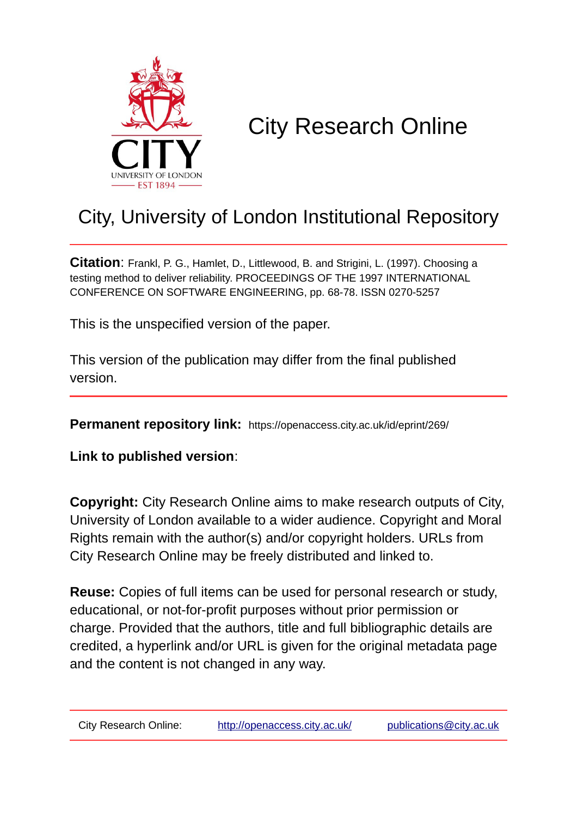

# City Research Online

## City, University of London Institutional Repository

**Citation**: Frankl, P. G., Hamlet, D., Littlewood, B. and Strigini, L. (1997). Choosing a testing method to deliver reliability. PROCEEDINGS OF THE 1997 INTERNATIONAL CONFERENCE ON SOFTWARE ENGINEERING, pp. 68-78. ISSN 0270-5257

This is the unspecified version of the paper.

This version of the publication may differ from the final published version.

**Permanent repository link:** https://openaccess.city.ac.uk/id/eprint/269/

**Link to published version**:

**Copyright:** City Research Online aims to make research outputs of City, University of London available to a wider audience. Copyright and Moral Rights remain with the author(s) and/or copyright holders. URLs from City Research Online may be freely distributed and linked to.

**Reuse:** Copies of full items can be used for personal research or study, educational, or not-for-profit purposes without prior permission or charge. Provided that the authors, title and full bibliographic details are credited, a hyperlink and/or URL is given for the original metadata page and the content is not changed in any way.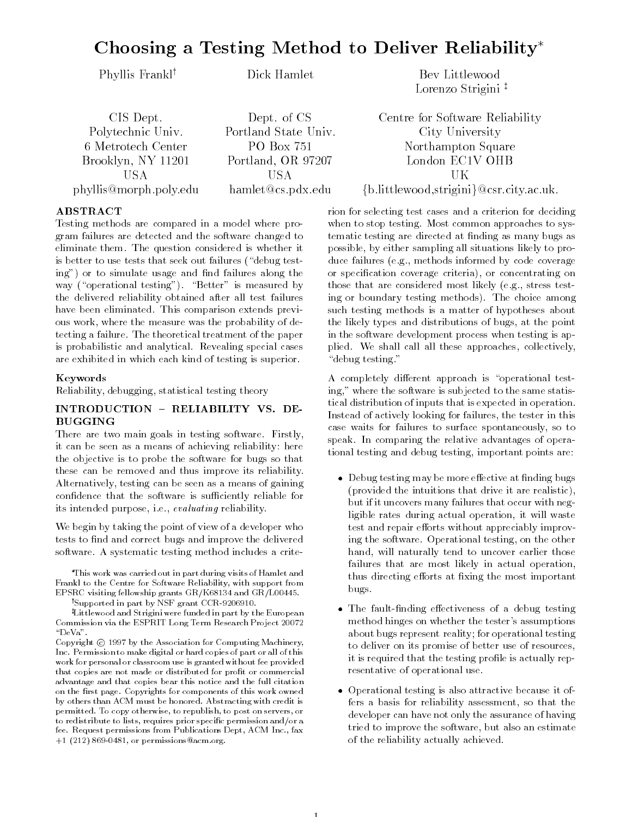### Choosing a Testing Method to Deliver Reliability

Phyllis Frankl<sup>†</sup>

Dick Hamlet

CIS Dept. Polytechnic Univ. 6 Metrotech Center Brooklyn, NY 11201 USA phyllis@morph.poly.edu

Dept. of CS Portland State Univ. PO Box 751 Portland, OR 97207 USA hamlet@cs.pdx.edu

Bev Littlewood Lorenzo Strigini<sup>‡</sup>

Centre for Software Reliability City University Northampton Square London EC1V OHB UK.  $\{b.$ littlewood,strigini $\&csc.$ city.ac.uk.

### ABSTRACT

Testing methods are compared in a model where program failures are detected and the software changed to eliminate them. The question considered is whether it is better to use tests that seek out failures ( $\text{``delay test}$  $ing$ ") or to simulate usage and find failures along the way ("operational testing"). "Better" is measured by the delivered reliability obtained after all test failures have been eliminated. This comparison extends previous work, where the measure was the probability of detecting a failure. The theoretical treatment of the paper is probabilistic and analytical. Revealing special cases are exhibited in which each kind of testing is superior.

#### Keywords

Reliability, debugging, statistical testing theory

#### INTRODUCTION - RELIABILITY VS. DE-BUGGING

There are two main goals in testing software. Firstly, it can be seen as a means of achieving reliability: here the objective is to probe the software for bugs so that these can be removed and thus improve its reliability. Alternatively, testing can be seen as a means of gaining confidence that the software is sufficiently reliable for its intended purpose, i.e., evaluating reliability.

We begin by taking the point of view of a developer who tests to find and correct bugs and improve the delivered software. A systematic testing method includes a crite-

This work was carried out in part during visits of Hamlet and Frankl to the Centre for Software Reliability, with support from EPSRC visiting fellowship grants GR/K68134 and GR/L00445.

<sup>t</sup>Supported in part by NSF grant CCR-9206910.

Littlewood and Strigini were funded in part by the European Commission via the ESPRIT Long Term Research Project 20072 "DeVa".

Copyright  $\odot$  1997 by the Association for Computing Machinery, Inc. Permission to make digital or hard copies of part or all of this work for personal or classroom use is granted without fee provided that copies are not made or distributed for profit or commercial advantage and that copies bear this notice and the full citation on the first page. Copyrights for components of this work owned by others than ACM must be honored. Abstracting with credit is permitted. To copy otherwise, to republish, to post on servers, or to redistribute to lists, requires prior specic permission and/or a fee. Request permissions from Publications Dept, ACM Inc., fax +1 (212) 869-0481, or permissions@acm.org.

rion for selecting test cases and a criterion for deciding when to stop testing. Most common approaches to systematic testing are directed at finding as many bugs as possible, by either sampling all situations likely to produce failures (e.g., methods informed by code coverage or specication coverage criteria), or concentrating on those that are considered most likely (e.g., stress testing or boundary testing methods). The choice among such testing methods is a matter of hypotheses about the likely types and distributions of bugs, at the point in the software development process when testing is applied. We shall call all these approaches, collectively, "debug testing."

A completely different approach is "operational testing," where the software is subjected to the same statistical distribution of inputs that is expected in operation. Instead of actively looking for failures, the tester in this case waits for failures to surface spontaneously, so to speak. In comparing the relative advantages of operational testing and debug testing, important points are:

- $\bullet$  Debug testing may be more effective at finding bugs (provided the intuitions that drive it are realistic), but if it uncovers many failures that occur with negligible rates during actual operation, it will waste test and repair efforts without appreciably improving the software. Operational testing, on the other hand, will naturally tend to uncover earlier those failures that are most likely in actual operation, thus directing efforts at fixing the most important bugs.
- $\bullet$  The fault-finding effectiveness of a debug testing method hinges on whether the tester's assumptions about bugs represent reality; for operational testing to deliver on its promise of better use of resources, it is required that the testing profile is actually representative of operational use.
- Operational testing is also attractive because it offers a basis for reliability assessment, so that the developer can have not only the assurance of having tried to improve the software, but also an estimate of the reliability actually achieved.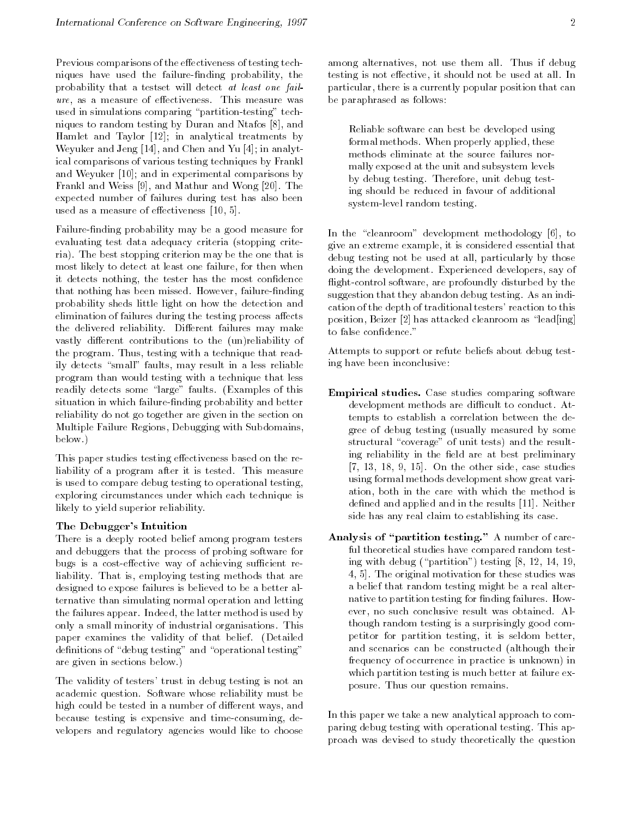Previous comparisons of the effectiveness of testing techniques have used the failure-nding probability, the probability that a testset will detect at least one fail $ure$ , as a measure of effectiveness. This measure was used in simulations comparing "partition-testing" techniques to random testing by Duran and Ntafos [8], and Hamlet and Taylor [12]; in analytical treatments by Weyuker and Jeng [14], and Chen and Yu [4]; in analytical comparisons of various testing techniques by Frankl and Weyuker [10]; and in experimental comparisons by Frankl and Weiss [9], and Mathur and Wong [20]. The expected number of failures during test has also been used as a measure of effectiveness  $[10, 5]$ .

Failure-nding probability may be a good measure for evaluating test data adequacy criteria (stopping criteria). The best stopping criterion may be the one that is most likely to detect at least one failure, for then when it detects nothing, the tester has the most confidence that nothing has been missed. However, failure-nding probability sheds little light on how the detection and elimination of failures during the testing process affects the delivered reliability. Different failures may make vastly different contributions to the (un)reliability of the program. Thus, testing with a technique that readily detects "small" faults, may result in a less reliable program than would testing with a technique that less readily detects some "large" faults. (Examples of this situation in which failure-finding probability and better reliability do not go together are given in the section on Multiple Failure Regions, Debugging with Subdomains, below.) below.) we have a set of the set of the set of the set of the set of the set of the set of the set of the set of the set of the set of the set of the set of the set of the set of the set of the set of the set of the set of

This paper studies testing effectiveness based on the reliability of a program after it is tested. This measure is used to compare debug testing to operational testing, exploring circumstances under which each technique is likely to yield superior reliability.

#### The Debugger's Intuition

There is a deeply rooted belief among program testers and debuggers that the process of probing software for bugs is a cost-effective way of achieving sufficient reliability. That is, employing testing methods that are designed to expose failures is believed to be a better alternative than simulating normal operation and letting the failures appear. Indeed, the latter method is used by only a small minority of industrial organisations. This paper examines the validity of that belief. (Detailed definitions of "debug testing" and "operational testing" are given in sections below.)

The validity of testers' trust in debug testing is not an academic question. Software whose reliability must be high could be tested in a number of different ways, and because testing is expensive and time-consuming, developers and regulatory agencies would like to choose

among alternatives, not use them all. Thus if debug testing is not effective, it should not be used at all. In particular, there is a currently popular position that can be paraphrased as follows:

Reliable software can best be developed using formal methods. When properly applied, these methods eliminate at the source failures normally exposed at the unit and subsystem levels by debug testing. Therefore, unit debug testing should be reduced in favour of additional system-level random testing.

In the "cleanroom" development methodology [6], to give an extreme example, it is considered essential that debug testing not be used at all, particularly by those doing the development. Experienced developers, say of flight-control software, are profoundly disturbed by the suggestion that they abandon debug testing. As an indication of the depth of traditional testers' reaction to this position, Beizer [2] has attacked cleanroom as "lead[ing]

Attempts to support or refute beliefs about debug testing have been inconclusive:

- Empirical studies. Case studies comparing software development methods are difficult to conduct. Attempts to establish a correlation between the degree of debug testing (usually measured by some structural "coverage" of unit tests) and the resulting reliability in the field are at best preliminary [7, 13, 18, 9, 15]. On the other side, case studies using formal methods development show great variation, both in the care with which the method is defined and applied and in the results [11]. Neither side has any real claim to establishing its case.
- Analysis of "partition testing." A number of careful theoretical studies have compared random testing with debug ("partition") testing  $[8, 12, 14, 19,$ 4, 5]. The original motivation for these studies was a belief that random testing might be a real alternative to partition testing for finding failures. However, no such conclusive result was obtained. Although random testing is a surprisingly good competitor for partition testing, it is seldom better, and scenarios can be constructed (although their frequency of occurrence in practice is unknown) in which partition testing is much better at failure exposure. Thus our question remains.

In this paper we take a new analytical approach to comparing debug testing with operational testing. This approach was devised to study theoretically the question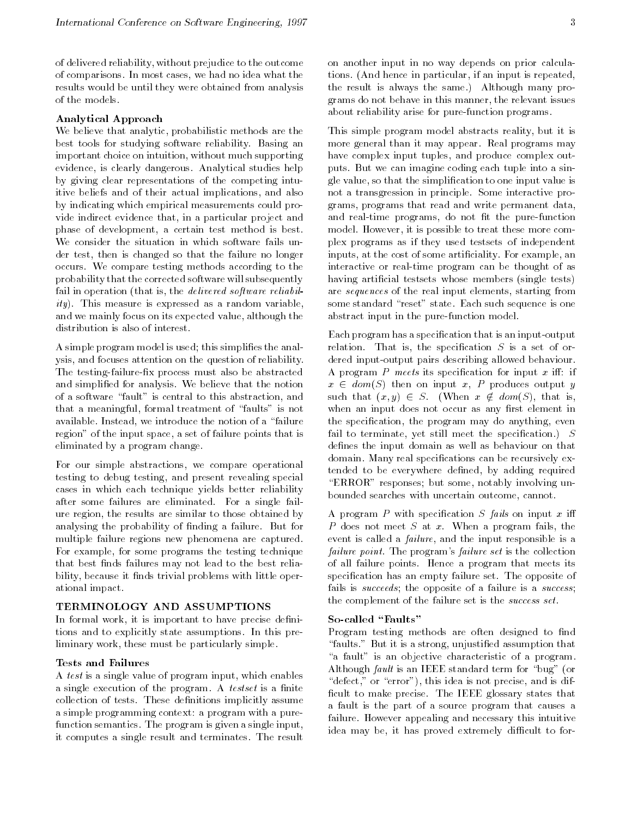of delivered reliability, without prejudice to the outcome of comparisons. In most cases, we had no idea what the results would be until they were obtained from analysis of the models.

#### Analytical Approach

We believe that analytic, probabilistic methods are the best tools for studying software reliability. Basing an important choice on intuition, without much supporting evidence, is clearly dangerous. Analytical studies help by giving clear representations of the competing intuitive beliefs and of their actual implications, and also by indicating which empirical measurements could provide indirect evidence that, in a particular project and phase of development, a certain test method is best. We consider the situation in which software fails under test, then is changed so that the failure no longer occurs. We compare testing methods according to the probability that the corrected software will subsequently fail in operation (that is, the *delivered software reliabil* $ity$ ). This measure is expressed as a random variable, and we mainly focus on its expected value, although the distribution is also of interest.

A simple program model is used; this simplifies the analysis, and focuses attention on the question of reliability. The testing-failure-x process must also be abstracted and simplied for analysis. We believe that the notion of a software "fault" is central to this abstraction, and that a meaningful, formal treatment of "faults" is not available. Instead, we introduce the notion of a "failure" region" of the input space, a set of failure points that is eliminated by a program change.

For our simple abstractions, we compare operational testing to debug testing, and present revealing special cases in which each technique yields better reliability after some failures are eliminated. For a single failure region, the results are similar to those obtained by analysing the probability of finding a failure. But for multiple failure regions new phenomena are captured. For example, for some programs the testing technique that best finds failures may not lead to the best reliability, because it finds trivial problems with little operational impact.

#### TERMINOLOGY AND ASSUMPTIONS

In formal work, it is important to have precise definitions and to explicitly state assumptions. In this preliminary work, these must be particularly simple.

#### Tests and Failures

A test is a single value of program input, which enables a single execution of the program. A *testset* is a finite collection of tests. These definitions implicitly assume a simple programming context: a program with a purefunction semantics. The program is given a single input, it computes a single result and terminates. The result on another input in no way depends on prior calculations. (And hence in particular, if an input is repeated, the result is always the same.) Although many programs do not behave in this manner, the relevant issues about reliability arise for pure-function programs.

This simple program model abstracts reality, but it is more general than it may appear. Real programs may have complex input tuples, and produce complex outputs. But we can imagine coding each tuple into a single value, so that the simplication to one input value is not a transgression in principle. Some interactive programs, programs that read and write permanent data, and real-time programs, do not fit the pure-function model. However, it is possible to treat these more complex programs as if they used testsets of independent inputs, at the cost of some articiality. For example, an interactive or real-time program can be thought of as having artificial testsets whose members (single tests) are sequences of the real input elements, starting from some standard "reset" state. Each such sequence is one abstract input in the pure-function model.

Each program has a specication that is an input-output relation. That is, the specification  $S$  is a set of ordered input-output pairs describing allowed behaviour. A program  $P$  meets its specification for input  $x$  iff: if  $x \in dom(S)$  then on input x, P produces output y such that  $(x, y) \in S$ . (When  $x \notin dom(S)$ , that is, when an input does not occur as any first element in the specication, the program may do anything, even fail to terminate, yet still meet the specification.)  $S$ defines the input domain as well as behaviour on that domain. Many real specifications can be recursively extended to be everywhere defined, by adding required "ERROR" responses; but some, notably involving unbounded searches with uncertain outcome, cannot.

A program P with specification  $S$  fails on input x iff P does not meet  $S$  at  $x$ . When a program fails, the event is called a failure, and the input responsible is a failure point. The program's failure set is the collection of all failure points. Hence a program that meets its specification has an empty failure set. The opposite of fails is *succeeds*; the opposite of a failure is a *success*; the complement of the failure set is the success set.

#### So-called "Faults"

Program testing methods are often designed to find "faults." But it is a strong, unjustified assumption that "a fault" is an objective characteristic of a program. Although fault is an IEEE standard term for "bug" (or " $defect,"$  or " $error"$ ), this idea is not precise, and is difficult to make precise. The IEEE glossary states that a fault is the part of a source program that causes a failure. However appealing and necessary this intuitive idea may be, it has proved extremely difficult to for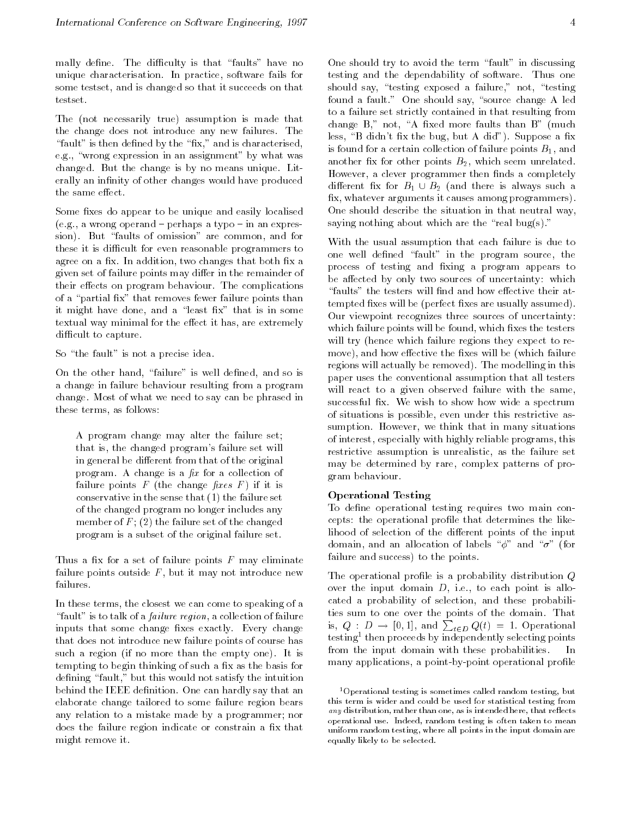mally define. The difficulty is that "faults" have no unique characterisation. In practice, software fails for some testset, and is changed so that it succeeds on that testset.

The (not necessarily true) assumption is made that the change does not introduce any new failures. The "fault" is then defined by the "fix," and is characterised, e.g., "wrong expression in an assignment" by what was changed. But the change is by no means unique. Literally an infinity of other changes would have produced the same effect.

Some fixes do appear to be unique and easily localised  $(e.g., a wrong operand - perhaps a type - in an expres$ sion). But "faults of omission" are common, and for these it is difficult for even reasonable programmers to agree on a fix. In addition, two changes that both fix a given set of failure points may differ in the remainder of their effects on program behaviour. The complications of a "partial fix" that removes fewer failure points than it might have done, and a "least fix" that is in some textual way minimal for the effect it has, are extremely difficult to capture.

So "the fault" is not a precise idea.

On the other hand, "failure" is well defined, and so is a change in failure behaviour resulting from a program change. Most of what we need to say can be phrased in these terms, as follows:

A program change may alter the failure set; that is, the changed program's failure set will in general be different from that of the original program. A change is a  $\hbar x$  for a collection of failure points  $F$  (the change fixes  $F$ ) if it is conservative in the sense that (1) the failure set of the changed program no longer includes any member of  $F$ ; (2) the failure set of the changed program is a subset of the original failure set.

Thus a fix for a set of failure points  $F$  may eliminate failure points outside  $F$ , but it may not introduce new failures.

In these terms, the closest we can come to speaking of a "fault" is to talk of a *failure region*, a collection of failure inputs that some change fixes exactly. Every change that does not introduce new failure points of course has such a region (if no more than the empty one). It is tempting to begin thinking of such a fix as the basis for defining "fault," but this would not satisfy the intuition behind the IEEE definition. One can hardly say that an elaborate change tailored to some failure region bears any relation to a mistake made by a programmer; nor does the failure region indicate or constrain a fix that might remove it.

One should try to avoid the term "fault" in discussing testing and the dependability of software. Thus one should say, "testing exposed a failure," not, "testing found a fault." One should say, "source change A led to a failure set strictly contained in that resulting from change  $B$ ," not, "A fixed more faults than  $B$ " (much less, "B didn't fix the bug, but A did"). Suppose a fix is found for a certain collection of failure points  $B_1$ , and another fix for other points  $B_2$ , which seem unrelated. However, a clever programmer then finds a completely different fix for  $B_1 \cup B_2$  (and there is always such a x, whatever arguments it causes among programmers). One should describe the situation in that neutral way, saying nothing about which are the "real bug(s)."

With the usual assumption that each failure is due to one well defined "fault" in the program source, the process of testing and fixing a program appears to be affected by only two sources of uncertainty: which "faults" the testers will find and how effective their attempted fixes will be (perfect fixes are usually assumed). Our viewpoint recognizes three sources of uncertainty: which failure points will be found, which fixes the testers will try (hence which failure regions they expect to remove), and how effective the fixes will be (which failure regions will actually be removed). The modelling in this paper uses the conventional assumption that all testers will react to a given observed failure with the same, successful fix. We wish to show how wide a spectrum of situations is possible, even under this restrictive assumption. However, we think that in many situations of interest, especially with highly reliable programs, this restrictive assumption is unrealistic, as the failure set may be determined by rare, complex patterns of program behaviour.

#### Operational Testing

To define operational testing requires two main concepts: the operational profile that determines the likelihood of selection of the different points of the input domain, and an allocation of labels " $\phi$ " and " $\sigma$ " (for failure and success) to the points.

The operational profile is a probability distribution  $Q$ over the input domain  $D$ , i.e., to each point is allocated a probability of selection, and these probabilities sum to one over the points of the domain. That is,  $Q: D \to [0, 1]$ , and  $\sum_{t \in D} Q(t) = 1$ . Operational testing" then proceeds by independently selecting points from the input domain with these probabilities. In many applications, a point-by-point operational profile

<sup>&</sup>lt;sup>1</sup>Operational testing is sometimes called random testing, but this term is wider and could be used for statistical testing from any distribution, rather than one, as is intended here, that reflects operational use. Indeed, random testing is often taken to mean uniform random testing, where all points in the input domain are equally likely to be selected.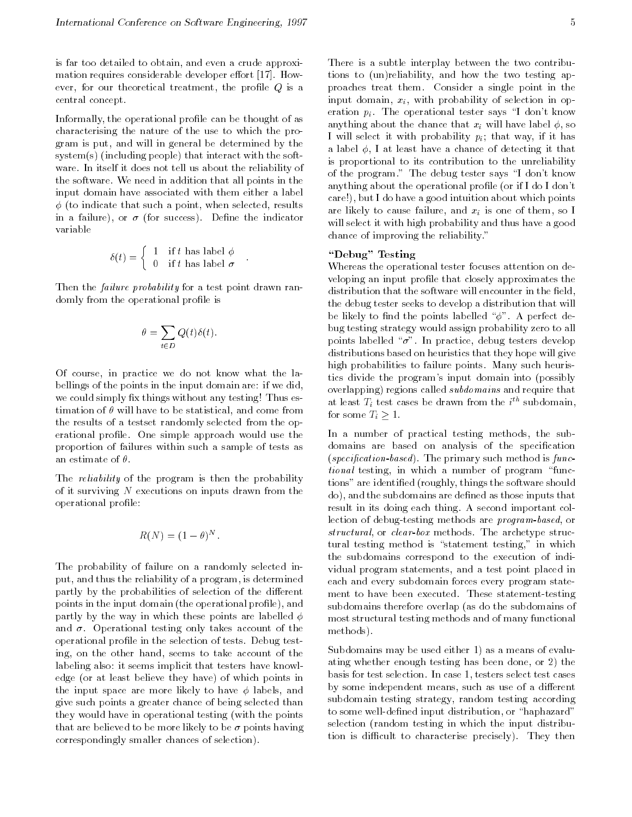is far too detailed to obtain, and even a crude approximation requires considerable developer effort [17]. However, for our theoretical treatment, the profile  $Q$  is a central concept.

Informally, the operational profile can be thought of as characterising the nature of the use to which the program is put, and will in general be determined by the system(s) (including people) that interact with the software. In itself it does not tell us about the reliability of the software. We need in addition that all points in the input domain have associated with them either a label  $\phi$  (to indicate that such a point, when selected, results in a failure), or  $\sigma$  (for success). Define the indicator variable

$$
\delta(t) = \begin{cases} 1 & \text{if } t \text{ has label } \phi \\ 0 & \text{if } t \text{ has label } \sigma \end{cases}.
$$

Then the *failure probability* for a test point drawn randomly from the operational profile is

$$
\theta = \sum_{t \in D} Q(t) \delta(t).
$$

Of course, in practice we do not know what the labellings of the points in the input domain are: if we did, we could simply fix things without any testing! Thus estimation of  $\theta$  will have to be statistical, and come from the results of a testset randomly selected from the operational profile. One simple approach would use the proportion of failures within such a sample of tests as an estimate of  $\theta$ .

The *reliability* of the program is then the probability of it surviving  $N$  executions on inputs drawn from the operational profile:

$$
R(N) = (1 - \theta)^N.
$$

The probability of failure on a randomly selected input, and thus the reliability of a program, is determined partly by the probabilities of selection of the different points in the input domain (the operational profile), and partly by the way in which these points are labelled  $\phi$ and  $\sigma$ . Operational testing only takes account of the operational profile in the selection of tests. Debug testing, on the other hand, seems to take account of the labeling also: it seems implicit that testers have knowledge (or at least believe they have) of which points in the input space are more likely to have  $\phi$  labels, and give such points a greater chance of being selected than they would have in operational testing (with the points that are believed to be more likely to be  $\sigma$  points having correspondingly smaller chances of selection).

There is a subtle interplay between the two contributions to (un)reliability, and how the two testing approaches treat them. Consider a single point in the input domain,  $x_i$ , with probability of selection in operation  $p_i$ . The operational tester says "I don't know anything about the chance that  $x_i$  will have label  $\phi$ , so I will select it with probability  $p_i$ ; that way, if it has a label  $\phi$ , I at least have a chance of detecting it that is proportional to its contribution to the unreliability of the program." The debug tester says \I don't know anything about the operational profile (or if I do I don't care!), but I do have a good intuition about which points are likely to cause failure, and  $x_i$  is one of them, so I will select it with high probability and thus have a good chance of improving the reliability."

#### "Debug" Testing

Whereas the operational tester focuses attention on developing an input profile that closely approximates the distribution that the software will encounter in the field. the debug tester seeks to develop a distribution that will be likely to find the points labelled " $\phi$ ". A perfect debug testing strategy would assign probability zero to all points labelled " $\sigma$ ". In practice, debug testers develop distributions based on heuristics that they hope will give high probabilities to failure points. Many such heuristics divide the program's input domain into (possibly overlapping) regions called subdomains and require that at least  $I_i$  test cases be drawn from the  $i$ . Subdomain, for some  $T_i \geq 1$ .

In a number of practical testing methods, the subdomains are based on analysis of the specification (specification-based). The primary such method is  $func$ - $\it{tional}$  testing, in which a number of program "functions" are identied (roughly, things the software should do), and the subdomains are defined as those inputs that result in its doing each thing. A second important collection of debug-testing methods are program-based, or structural, or clear-box methods. The archetype structural testing method is "statement testing," in which the subdomains correspond to the execution of individual program statements, and a test point placed in each and every subdomain forces every program state ment to have been executed. These statement-testing subdomains therefore overlap (as do the subdomains of most structural testing methods and of many functional methods).

Subdomains may be used either 1) as a means of evaluating whether enough testing has been done, or 2) the basis for test selection. In case 1, testers select test cases by some independent means, such as use of a different subdomain testing strategy, random testing according to some well-defined input distribution, or "haphazard" selection (random testing in which the input distribution is difficult to characterise precisely). They then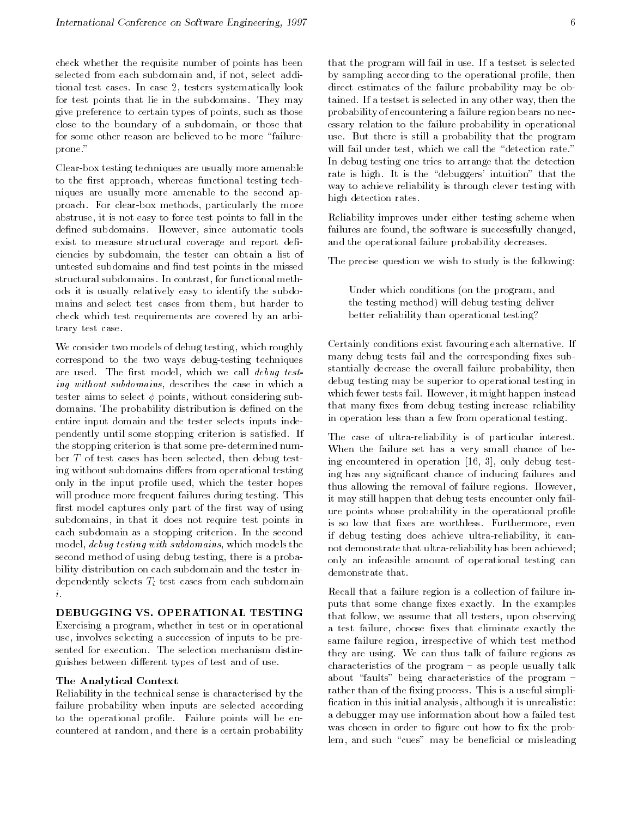check whether the requisite number of points has been selected from each subdomain and, if not, select additional test cases. In case 2, testers systematically look for test points that lie in the subdomains. They may give preference to certain types of points, such as those close to the boundary of a subdomain, or those that for some other reason are believed to be more "failureprone."

Clear-box testing techniques are usually more amenable to the first approach, whereas functional testing techniques are usually more amenable to the second approach. For clear-box methods, particularly the more abstruse, it is not easy to force test points to fall in the defined subdomains. However, since automatic tools exist to measure structural coverage and report deficiencies by subdomain, the tester can obtain a list of untested subdomains and find test points in the missed structural subdomains. In contrast, for functional methods it is usually relatively easy to identify the subdomains and select test cases from them, but harder to check which test requirements are covered by an arbitrary test case.

We consider two models of debug testing, which roughly correspond to the two ways debug-testing techniques are used. The first model, which we call  $debug$  testing without subdomains, describes the case in which a tester aims to select  $\phi$  points, without considering subdomains. The probability distribution is defined on the entire input domain and the tester selects inputs independently until some stopping criterion is satisfied. If the stopping criterion is that some pre-determined number <sup>T</sup> of test cases has been selected, then debug testing without subdomains differs from operational testing only in the input profile used, which the tester hopes will produce more frequent failures during testing. This first model captures only part of the first way of using subdomains, in that it does not require test points in each subdomain as a stopping criterion. In the second model, debug testing with subdomains, which models the second method of using debug testing, there is a probability distribution on each subdomain and the tester independently selects  $T_i$  test cases from each subdomain  $i.$ <br>DEBUGGING VS. OPERATIONAL TESTING

Exercising a program, whether in test or in operational use, involves selecting a succession of inputs to be presented for execution. The selection mechanism distinguishes between different types of test and of use.

#### The Analytical Context

Reliability in the technical sense is characterised by the failure probability when inputs are selected according to the operational profile. Failure points will be encountered at random, and there is a certain probability that the program will fail in use. If a testset is selected by sampling according to the operational profile, then direct estimates of the failure probability may be obtained. If a testset is selected in any other way, then the probability of encountering a failure region bears no necessary relation to the failure probability in operational use. But there is still a probability that the program will fail under test, which we call the "detection rate." In debug testing one tries to arrange that the detection rate is high. It is the "debuggers' intuition" that the way to achieve reliability is through clever testing with high detection rates.

Reliability improves under either testing scheme when failures are found, the software is successfully changed, and the operational failure probability decreases.

The precise question we wish to study is the following:

Under which conditions (on the program, and the testing method) will debug testing deliver better reliability than operational testing?

Certainly conditions exist favouring each alternative. If many debug tests fail and the corresponding fixes substantially decrease the overall failure probability, then debug testing may be superior to operational testing in which fewer tests fail. However, it might happen instead that many fixes from debug testing increase reliability in operation less than a few from operational testing.

The case of ultra-reliability is of particular interest. When the failure set has a very small chance of being encountered in operation [16, 3], only debug testing has any signicant chance of inducing failures and thus allowing the removal of failure regions. However, it may still happen that debug tests encounter only failure points whose probability in the operational profile is so low that fixes are worthless. Furthermore, even if debug testing does achieve ultra-reliability, it cannot demonstrate that ultra-reliability has been achieved; only an infeasible amount of operational testing can demonstrate that.

Recall that a failure region is a collection of failure inputs that some change fixes exactly. In the examples that follow, we assume that all testers, upon observing a test failure, choose fixes that eliminate exactly the same failure region, irrespective of which test method they are using. We can thus talk of failure regions as characteristics of the program  $-$  as people usually talk about "faults" being characteristics of the program  $=$ rather than of the fixing process. This is a useful simplification in this initial analysis, although it is unrealistic: a debugger may use information about how a failed test was chosen in order to figure out how to fix the problem, and such "cues" may be beneficial or misleading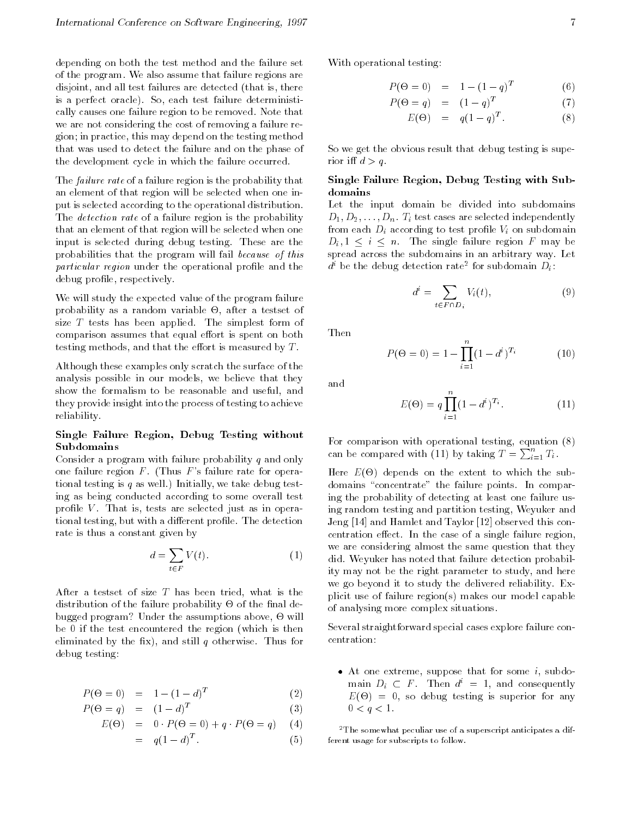depending on both the test method and the failure set of the program. We also assume that failure regions are disjoint, and all test failures are detected (that is, there is a perfect oracle). So, each test failure deterministically causes one failure region to be removed. Note that we are not considering the cost of removing a failure region; in practice, this may depend on the testing method that was used to detect the failure and on the phase of the development cycle in which the failure occurred.

The *failure rate* of a failure region is the probability that an element of that region will be selected when one input is selected according to the operational distribution. The *detection rate* of a failure region is the probability that an element of that region will be selected when one input is selected during debug testing. These are the probabilities that the program will fail because of this *particular region* under the operational profile and the debug profile, respectively.

We will study the expected value of the program failure probability as a random variable -, after a testset of size  $T$  tests has been applied. The simplest form of comparison assumes that equal effort is spent on both testing methods, and that the effort is measured by  $T$ .

Although these examples only scratch the surface of the analysis possible in our models, we believe that they show the formalism to be reasonable and useful, and they provide insight into the process of testing to achieve reliability.

#### Single Failure Region, Debug Testing without Subdomains

Consider a program with failure probability <sup>q</sup> and only one failure region  $F$ . (Thus F's failure rate for operational testing is q as well.) Initially, we take debug testing as being conducted according to some overall test profile  $V$ . That is, tests are selected just as in operational testing, but with a different profile. The detection rate is thus a constant given by

$$
d = \sum_{t \in F} V(t). \tag{1}
$$

After a testset of size  $T$  has been tried, what is the distribution of the failure probability - the failure probability - the failure probability - the failure proba bugged programs? Under the assumptions above, assumptions above, assumptions above, assumptions above, and ass be 0 if the test encountered the region (which is then eliminated by the fix), and still  $q$  otherwise. Thus for debug testing:

$$
P(\Theta = 0) = 1 - (1 - d)^{T}
$$
 (2)

$$
P(\Theta = q) = (1 - d)^T \tag{3}
$$

$$
E(\Theta) = 0 \cdot P(\Theta = 0) + q \cdot P(\Theta = q) \quad (4)
$$

$$
= q(1-d)^T.
$$
 (5)

With operational testing:

$$
P(\Theta = 0) = 1 - (1 - q)^{T}
$$
 (6)

$$
P(\Theta = q) = (1 - q)^{T} \tag{7}
$$

$$
E(\Theta) = q(1-q)^T. \tag{8}
$$

So we get the obvious result that debug testing is superior iff  $d>q$ .

#### Single Failure Region, Debug Testing with Subdomains

Let the input domain be divided into subdomains  $D_1, D_2, \ldots, D_n$ .  $T_i$  test cases are selected independently from each  $D_i$  according to test profile  $V_i$  on subdomain  $D_i, 1 \leq i \leq n$ . The single failure region F may be spread across the subdomains in an arbitrary way. Let  $a^{\ldots}$  be the debug detection rate tor subdomain  $D_i$ :

$$
d^i = \sum_{t \in F \cap D_i} V_i(t),\tag{9}
$$

$$
P(\Theta = 0) = 1 - \prod_{i=1}^{n} (1 - d^i)^{T_i}
$$
 (10)

and

$$
E(\Theta) = q \prod_{i=1}^{n} (1 - d^i)^{T_i}.
$$
 (11)

For comparison with operational testing, equation (8) can be compared with (11) by taking  $T = \sum_{i=1}^{n} T_i$ .

Here E(-) depends on the extent to which the subdomains "concentrate" the failure points. In comparing the probability of detecting at least one failure using random testing and partition testing, Weyuker and Jeng [14] and Hamlet and Taylor [12] observed this concentration effect. In the case of a single failure region, we are considering almost the same question that they did. Weyuker has noted that failure detection probability may not be the right parameter to study, and here we go beyond it to study the delivered reliability. Explicit use of failure region(s) makes our model capable of analysing more complex situations.

Several straightforward special cases explore failure concentration:

• At one extreme, suppose that for some *i*, subdomain  $D_i \subset F$ . Then  $d^i = 1$ , and consequently E(-) = 0, so debug testing is superior for any  $0 < q < 1$ .

 $2$ The somewhat peculiar use of a superscript anticipates a different usage for subscripts to follow.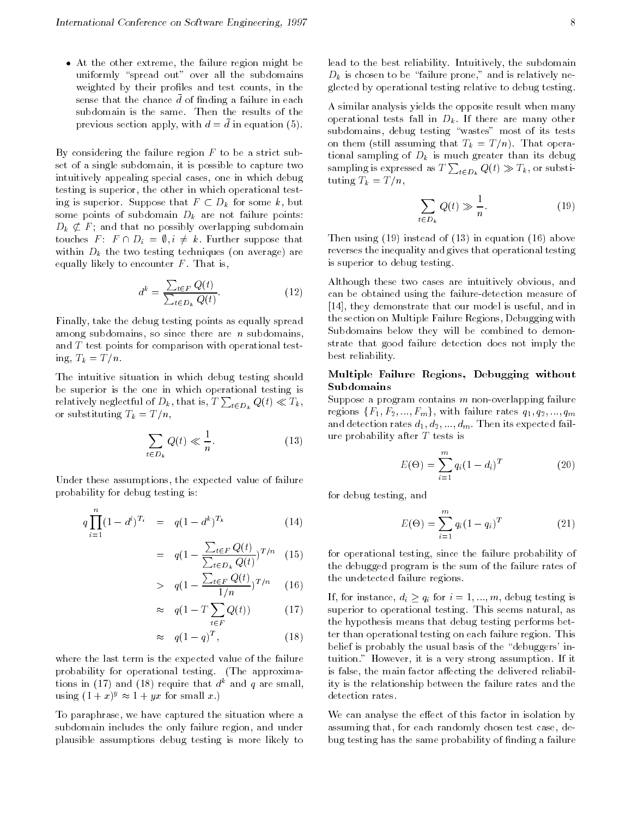At the other extreme, the failure region might be uniformly "spread out" over all the subdomains weighted by their profiles and test counts, in the sense that the chance  $\bar{d}$  of finding a failure in each subdomain is the same. Then the results of the previous section apply, with  $d = \bar{d}$  in equation (5).

By considering the failure region  $F$  to be a strict subset of a single subdomain, it is possible to capture two intuitively appealing special cases, one in which debug testing is superior, the other in which operational testing is superior. Suppose that  $F \subset D_k$  for some k, but some points of subdomain  $D_k$  are not failure points:  $D_k \not\subset F$ ; and that no possibly overlapping subdomain touches  $F: F \cap D_i = \emptyset, i \neq k$ . Further suppose that within  $D_k$  the two testing techniques (on average) are equally likely to encounter  $F$ . That is,

$$
d^k = \frac{\sum_{t \in F} Q(t)}{\sum_{t \in D_k} Q(t)}.
$$
 (12)

Finally, take the debug testing points as equally spread among subdomains, so since there are  $n$  subdomains, and <sup>T</sup> test points for comparison with operational testing,  $T_k = T/n$ .

The intuitive situation in which debug testing should be superior is the one in which operational testing is relatively neglectful of  $D_k$ , that is,  $T\sum_{t\in D_k}Q(t)\ll T_k$ , or substituting  $T_k = T/n$ ,

$$
\sum_{t \in D_k} Q(t) \ll \frac{1}{n}.\tag{13}
$$

Under these assumptions, the expected value of failure probability for debug testing is:

$$
q \prod_{i=1}^{n} (1 - d^{i})^{T_i} = q(1 - d^k)^{T_k}
$$
 (14)

$$
= q(1 - \frac{\sum_{t \in F} Q(t)}{\sum_{t \in D_k} Q(t)})^{T/n} (15)
$$

> 
$$
q(1 - \frac{\sum_{t \in F} Q(t)}{1/n})^{T/n}
$$
 (16)

$$
\approx q(1 - T \sum_{t \in F} Q(t)) \tag{17}
$$

$$
\approx q(1-q)^T,\tag{18}
$$

where the last term is the expected value of the failure probability for operational testing. (The approximations in (17) and (18) require that  $d^k$  and q are small, using  $(1+x)^y \approx 1 + yx$  for small x.)

To paraphrase, we have captured the situation where a subdomain includes the only failure region, and under plausible assumptions debug testing is more likely to lead to the best reliability. Intuitively, the subdomain  $D_k$  is chosen to be "failure prone," and is relatively neglected by operational testing relative to debug testing.

A similar analysis yields the opposite result when many operational tests fall in  $D_k$ . If there are many other subdomains, debug testing \wastes" most of its tests on them (still assuming that  $T_k = T/n$ ). That operational sampling of  $D_k$  is much greater than its debug sampling is expressed as  $T\sum_{t\in D_k} Q(t) \gg T_k$ , or substituting  $T_k = T/n$ ,

$$
\sum_{t \in D_k} Q(t) \gg \frac{1}{n}.\tag{19}
$$

Then using (19) instead of (13) in equation (16) above reverses the inequality and gives that operational testing is superior to debug testing.

Although these two cases are intuitively obvious, and can be obtained using the failure-detection measure of [14], they demonstrate that our model is useful, and in the section on Multiple Failure Regions, Debugging with Subdomains below they will be combined to demonstrate that good failure detection does not imply the best reliability.

#### Multiple Failure Regions, Debugging without Subdomains

Suppose a program contains  $m$  non-overlapping failure regions  $\{F_1, F_2, ..., F_m\}$ , with failure rates  $q_1, q_2, ..., q_m$ and detection rates  $d_1, d_2, ..., d_m$ . Then its expected failure probability after  $T$  tests is

$$
E(\Theta) = \sum_{i=1}^{m} q_i (1 - d_i)^T
$$
 (20)

for debug testing, and

$$
E(\Theta) = \sum_{i=1}^{m} q_i (1 - q_i)^T
$$
 (21)

for operational testing, since the failure probability of the debugged program is the sum of the failure rates of the undetected failure regions.

If, for instance,  $d_i \geq q_i$  for  $i = 1, ..., m$ , debug testing is superior to operational testing. This seems natural, as the hypothesis means that debug testing performs better than operational testing on each failure region. This belief is probably the usual basis of the "debuggers' intuition." However, it is a very strong assumption. If it is false, the main factor affecting the delivered reliability is the relationship between the failure rates and the detection rates.

We can analyse the effect of this factor in isolation by assuming that, for each randomly chosen test case, debug testing has the same probability of nding a failure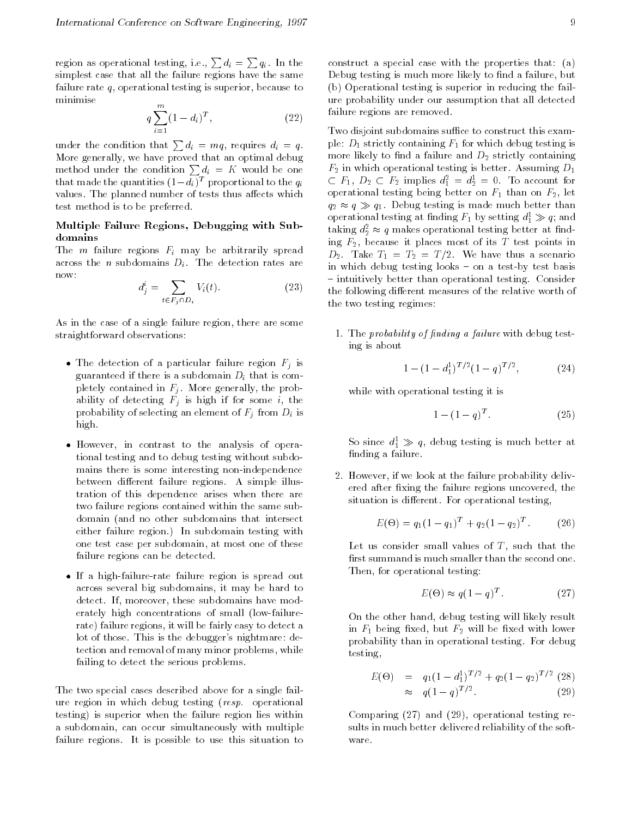region as operational testing, i.e.,  $\sum d_i = \sum q_i$ . In the simplest case that all the failure regions have the same failure rate  $q$ , operational testing is superior, because to minimise

$$
q\sum_{i=1}^{m}(1-d_i)^T, \tag{22}
$$

under the condition that  $\sum d_i = mq$ , requires  $d_i = q$ . More generally, we have proved that an optimal debug method under the condition  $\sum d_i = K$  would be one that made the quantities  $(1-d_i)^T$  proportional to the  $q_i$ values. The planned number of tests thus affects which test method is to be preferred.

#### Multiple Failure Regions, Debugging with Subdomains

The  $m$  failure regions  $F_i$  may be arbitrarily spread across the *n* subdomains  $D_i$ . The detection rates are now:

$$
d_j^i = \sum_{t \in F_j \cap D_i} V_i(t). \tag{23}
$$

As in the case of a single failure region, there are some straightforward observations:

- The detection of a particular failure region  $F_i$  is guaranteed if there is a subdomain  $D_i$  that is completely contained in  $F_j$ . More generally, the probability of detecting  $F_j$  is high if for some i, the probability of selecting an element of  $F_j$  from  $D_i$  is high.
- However, in contrast to the analysis of operational testing and to debug testing without subdomains there is some interesting non-independence between different failure regions. A simple illustration of this dependence arises when there are two failure regions contained within the same subdomain (and no other subdomains that intersect either failure region.) In subdomain testing with one test case per subdomain, at most one of these failure regions can be detected.
- If a high-failure-rate failure region is spread out across several big subdomains, it may be hard to detect. If, moreover, these subdomains have moderately high concentrations of small (low-failurerate) failure regions, it will be fairly easy to detect a lot of those. This is the debugger's nightmare: detection and removal of many minor problems, while failing to detect the serious problems.

The two special cases described above for a single failure region in which debug testing (resp. operational testing) is superior when the failure region lies within a subdomain, can occur simultaneously with multiple failure regions. It is possible to use this situation to

construct a special case with the properties that: (a) Debug testing is much more likely to find a failure, but (b) Operational testing is superior in reducing the failure probability under our assumption that all detected failure regions are removed.

Two disjoint subdomains suffice to construct this example:  $D_1$  strictly containing  $F_1$  for which debug testing is more likely to find a failure and  $D_2$  strictly containing  $F_2$  in which operational testing is better. Assuming  $D_1$  $\subset F_1, D_2 \subset F_2$  implies  $d_1^2 = d_2^1 = 0$ . To account for operational testing being better on  $F_1$  than on  $F_2$ , let  $q_2 \approx q \gg q_1$ . Debug testing is made much better than operational testing at finding  $F_1$  by setting  $d_1^1 \gg q$ ; and taking  $d_2^2 \approx q$  makes operational testing better at finding  $F_2$ , because it places most of its T test points in  $D_2$ . Take  $T_1 = T_2 = T/2$ . We have thus a scenario in which debug testing looks - on a test-by test basis { intuitively better than operational testing. Consider the following different measures of the relative worth of the two testing regimes:

1. The probability of nding a failure with debug testing is about

$$
1 - (1 - d_1^1)^{T/2} (1 - q)^{T/2}, \tag{24}
$$

while with operational testing it is

$$
1 - (1 - q)^T. \tag{25}
$$

So since  $d_1^1 \gg q$ , debug testing is much better at finding a failure.

2. However, if we look at the failure probability delivered after fixing the failure regions uncovered, the situation is different. For operational testing,

$$
E(\Theta) = q_1(1 - q_1)^T + q_2(1 - q_2)^T.
$$
 (26)

Let us consider small values of  $T$ , such that the first summand is much smaller than the second one. Then, for operational testing:

$$
E(\Theta) \approx q(1-q)^T. \tag{27}
$$

On the other hand, debug testing will likely result in  $F_1$  being fixed, but  $F_2$  will be fixed with lower probability than in operational testing. For debug testing,

$$
E(\Theta) = q_1(1 - d_1^1)^{T/2} + q_2(1 - q_2)^{T/2}
$$
 (28)  
\n
$$
\approx q(1 - q)^{T/2}.
$$
 (29)

Comparing (27) and (29), operational testing results in much better delivered reliability of the soft ware.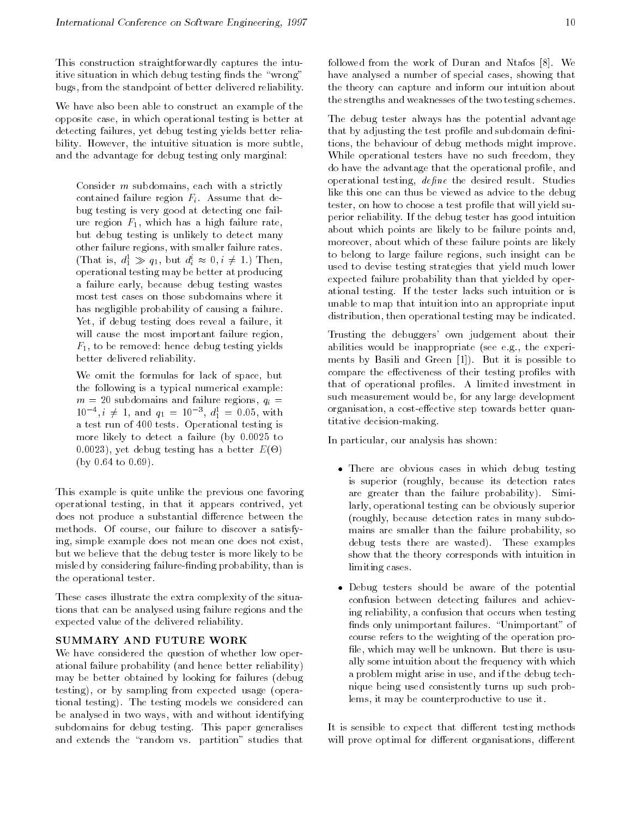This construction straightforwardly captures the intuitive situation in which debug testing finds the "wrong" bugs, from the standpoint of better delivered reliability.

We have also been able to construct an example of the opposite case, in which operational testing is better at detecting failures, yet debug testing yields better reliability. However, the intuitive situation is more subtle, and the advantage for debug testing only marginal:

Consider  $m$  subdomains, each with a strictly contained failure region  $F_i$ . Assume that debug testing is very good at detecting one failure region  $F_1$ , which has a high failure rate, but debug testing is unlikely to detect many other failure regions, with smaller failure rates. (That is,  $d_1^1 \gg q_1$ , but  $d_i^i \approx 0, i \neq 1$ .) Then, operational testing may be better at producing a failure early, because debug testing wastes most test cases on those subdomains where it has negligible probability of causing a failure. Yet, if debug testing does reveal a failure, it will cause the most important failure region,  $F_1$ , to be removed: hence debug testing yields better delivered reliability.

We omit the formulas for lack of space, but the following is a typical numerical example:  $m = 20$  subdomains and failure regions,  $q_i =$  $10^{-4}$ ,  $i \neq 1$ , and  $q_1 = 10^{-3}$ ,  $d_1^1 = 0.05$ , with a test run of 400 tests. Operational testing is more likely to detect a failure (by 0.0025 to 0.0023), yet debug testing has a better E(-) (by 0.64 to 0.69).

This example is quite unlike the previous one favoring operational testing, in that it appears contrived, yet does not produce a substantial difference between the methods. Of course, our failure to discover a satisfying, simple example does not mean one does not exist, but we believe that the debug tester is more likely to be misled by considering failure-finding probability, than is the operational tester.

These cases illustrate the extra complexity of the situations that can be analysed using failure regions and the expected value of the delivered reliability.

#### SUMMARY AND FUTURE WORK

We have considered the question of whether low operational failure probability (and hence better reliability) may be better obtained by looking for failures (debug testing), or by sampling from expected usage (operational testing). The testing models we considered can be analysed in two ways, with and without identifying subdomains for debug testing. This paper generalises and extends the "random vs. partition" studies that

followed from the work of Duran and Ntafos [8]. We have analysed a number of special cases, showing that the theory can capture and inform our intuition about the strengths and weaknesses of the two testing schemes.

The debug tester always has the potential advantage that by adjusting the test profile and subdomain definitions, the behaviour of debug methods might improve. While operational testers have no such freedom, they do have the advantage that the operational profile, and operational testing,  $define$  the desired result. Studies like this one can thus be viewed as advice to the debug tester, on how to choose a test profile that will yield superior reliability. If the debug tester has good intuition about which points are likely to be failure points and, moreover, about which of these failure points are likely to belong to large failure regions, such insight can be used to devise testing strategies that yield much lower expected failure probability than that yielded by operational testing. If the tester lacks such intuition or is unable to map that intuition into an appropriate input distribution, then operational testing may be indicated.

Trusting the debuggers' own judgement about their abilities would be inappropriate (see e.g., the experi ments by Basili and Green [1]). But it is possible to compare the effectiveness of their testing profiles with that of operational profiles. A limited investment in such measurement would be, for any large development organisation, a cost-effective step towards better quantitative decision-making.

In particular, our analysis has shown:

- There are obvious cases in which debug testing is superior (roughly, because its detection rates are greater than the failure probability). Similarly, operational testing can be obviously superior (roughly, because detection rates in many subdomains are smaller than the failure probability, so debug tests there are wasted). These examples show that the theory corresponds with intuition in limiting cases.
- Debug testers should be aware of the potential confusion between detecting failures and achieving reliability, a confusion that occurs when testing finds only unimportant failures. "Unimportant" of course refers to the weighting of the operation pro file, which may well be unknown. But there is usually some intuition about the frequency with which a problem might arise in use, and if the debug technique being used consistently turns up such problems, it may be counterproductive to use it.

It is sensible to expect that different testing methods will prove optimal for different organisations, different